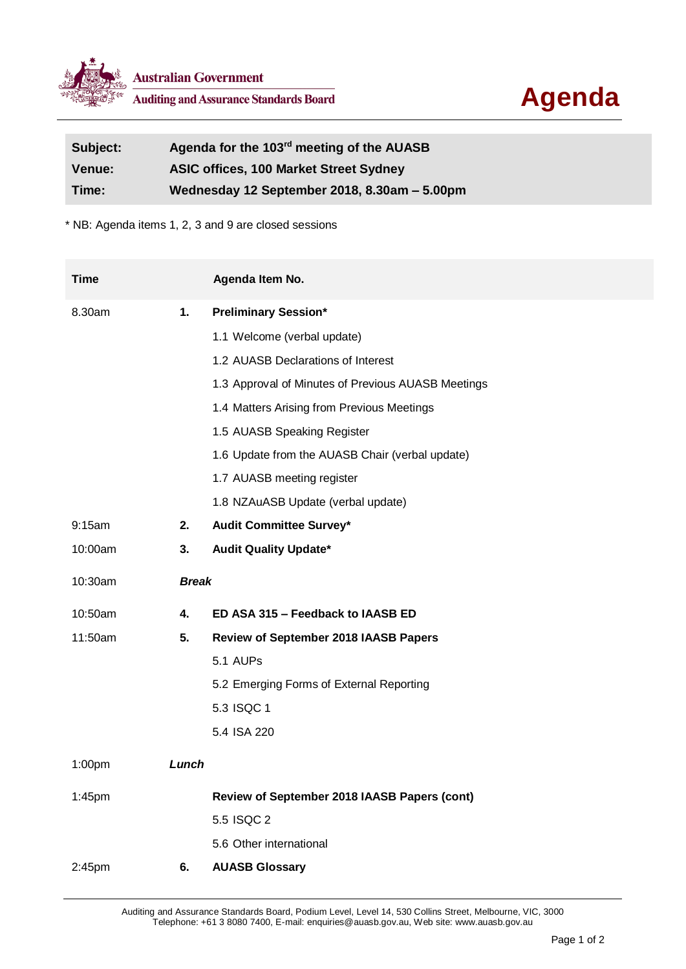

| Subject:      | Agenda for the 103 <sup>rd</sup> meeting of the AUASB |
|---------------|-------------------------------------------------------|
| <b>Venue:</b> | <b>ASIC offices, 100 Market Street Sydney</b>         |
| Time:         | Wednesday 12 September 2018, 8.30am - 5.00pm          |

\* NB: Agenda items 1, 2, 3 and 9 are closed sessions

| <b>Time</b>        |              | Agenda Item No.                                    |
|--------------------|--------------|----------------------------------------------------|
| 8.30am             | 1.           | <b>Preliminary Session*</b>                        |
|                    |              | 1.1 Welcome (verbal update)                        |
|                    |              | 1.2 AUASB Declarations of Interest                 |
|                    |              | 1.3 Approval of Minutes of Previous AUASB Meetings |
|                    |              | 1.4 Matters Arising from Previous Meetings         |
|                    |              | 1.5 AUASB Speaking Register                        |
|                    |              | 1.6 Update from the AUASB Chair (verbal update)    |
|                    |              | 1.7 AUASB meeting register                         |
|                    |              | 1.8 NZAuASB Update (verbal update)                 |
| $9:15$ am          | 2.           | <b>Audit Committee Survey*</b>                     |
| 10:00am            | 3.           | <b>Audit Quality Update*</b>                       |
| 10:30am            | <b>Break</b> |                                                    |
| 10:50am            | 4.           | ED ASA 315 - Feedback to IAASB ED                  |
| 11:50am            | 5.           | <b>Review of September 2018 IAASB Papers</b>       |
|                    |              | 5.1 AUPs                                           |
|                    |              | 5.2 Emerging Forms of External Reporting           |
|                    |              | 5.3 ISQC 1                                         |
|                    |              | 5.4 ISA 220                                        |
| 1:00 <sub>pm</sub> | Lunch        |                                                    |
| 1:45pm             |              | Review of September 2018 IAASB Papers (cont)       |
|                    |              | 5.5 ISQC 2                                         |
|                    |              | 5.6 Other international                            |
| 2:45pm             | 6.           | <b>AUASB Glossary</b>                              |